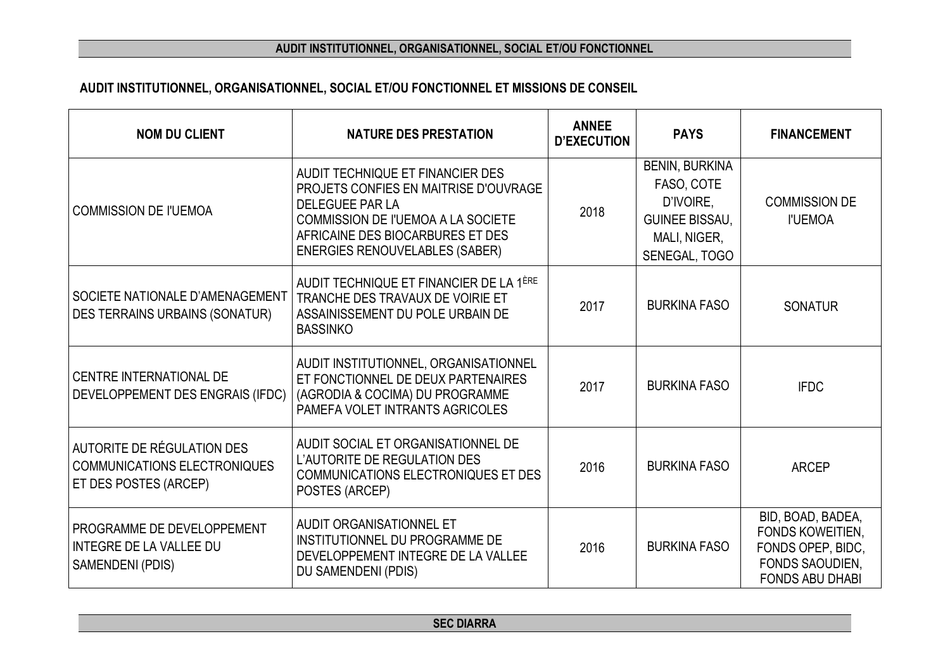## **AUDIT INSTITUTIONNEL, ORGANISATIONNEL, SOCIAL ET/OU FONCTIONNEL**

## **AUDIT INSTITUTIONNEL, ORGANISATIONNEL, SOCIAL ET/OU FONCTIONNEL ET MISSIONS DE CONSEIL**

| <b>NOM DU CLIENT</b>                                                                              | <b>NATURE DES PRESTATION</b>                                                                                                                                                                                                  | <b>ANNEE</b><br><b>D'EXECUTION</b> | <b>PAYS</b>                                                                                                | <b>FINANCEMENT</b>                                                                                      |
|---------------------------------------------------------------------------------------------------|-------------------------------------------------------------------------------------------------------------------------------------------------------------------------------------------------------------------------------|------------------------------------|------------------------------------------------------------------------------------------------------------|---------------------------------------------------------------------------------------------------------|
| <b>COMMISSION DE l'UEMOA</b>                                                                      | AUDIT TECHNIQUE ET FINANCIER DES<br>PROJETS CONFIES EN MAITRISE D'OUVRAGE<br><b>DELEGUEE PAR LA</b><br><b>COMMISSION DE l'UEMOA A LA SOCIETE</b><br>AFRICAINE DES BIOCARBURES ET DES<br><b>ENERGIES RENOUVELABLES (SABER)</b> | 2018                               | <b>BENIN, BURKINA</b><br>FASO, COTE<br>D'IVOIRE,<br><b>GUINEE BISSAU,</b><br>MALI, NIGER,<br>SENEGAL, TOGO | <b>COMMISSION DE</b><br><b>I'UEMOA</b>                                                                  |
| <b>SOCIETE NATIONALE D'AMENAGEMENT</b><br><b>DES TERRAINS URBAINS (SONATUR)</b>                   | AUDIT TECHNIQUE ET FINANCIER DE LA 1ÈRE<br>TRANCHE DES TRAVAUX DE VOIRIE ET<br>ASSAINISSEMENT DU POLE URBAIN DE<br><b>BASSINKO</b>                                                                                            | 2017                               | <b>BURKINA FASO</b>                                                                                        | <b>SONATUR</b>                                                                                          |
| CENTRE INTERNATIONAL DE<br>DEVELOPPEMENT DES ENGRAIS (IFDC)                                       | AUDIT INSTITUTIONNEL, ORGANISATIONNEL<br>ET FONCTIONNEL DE DEUX PARTENAIRES<br>(AGRODIA & COCIMA) DU PROGRAMME<br>PAMEFA VOLET INTRANTS AGRICOLES                                                                             | 2017                               | <b>BURKINA FASO</b>                                                                                        | <b>IFDC</b>                                                                                             |
| <b>AUTORITE DE RÉGULATION DES</b><br>COMMUNICATIONS ELECTRONIQUES<br><b>ET DES POSTES (ARCEP)</b> | AUDIT SOCIAL ET ORGANISATIONNEL DE<br>L'AUTORITE DE REGULATION DES<br><b>COMMUNICATIONS ELECTRONIQUES ET DES</b><br>POSTES (ARCEP)                                                                                            | 2016                               | <b>BURKINA FASO</b>                                                                                        | <b>ARCEP</b>                                                                                            |
| PROGRAMME DE DEVELOPPEMENT<br><b>INTEGRE DE LA VALLEE DU</b><br>SAMENDENI (PDIS)                  | AUDIT ORGANISATIONNEL ET<br>INSTITUTIONNEL DU PROGRAMME DE<br>DEVELOPPEMENT INTEGRE DE LA VALLEE<br>DU SAMENDENI (PDIS)                                                                                                       | 2016                               | <b>BURKINA FASO</b>                                                                                        | BID, BOAD, BADEA,<br>FONDS KOWEITIEN,<br>FONDS OPEP, BIDC,<br>FONDS SAOUDIEN,<br><b>FONDS ABU DHABI</b> |